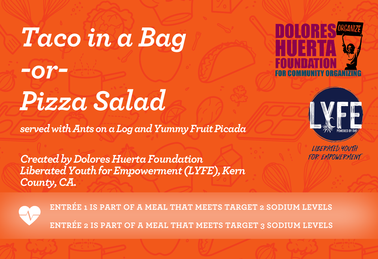# *Taco in a Bag -or-Pizza Salad*

*served with Ants on a Log and Yummy Fruit Picada*

*Created by Dolores Huerta Foundation Liberated Youth for Empowerment (LYFE),Kern County, CA.*





**LIBERATED YOUTH** FOR EMPOWERMENT

**ENTRÉE 1 IS PART OF A MEAL THAT MEETS TARGET 2 SODIUM LEVELS ENTRÉE 2 IS PART OF A MEAL THAT MEETS TARGET 3 SODIUM LEVELS**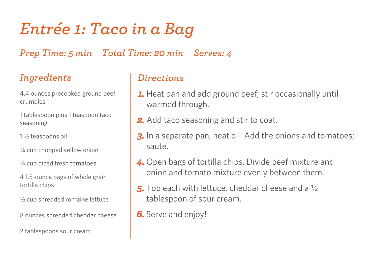# *Entrée 1: Taco in a Bag*

*Prep Time: 5 min Total Time: 20 min Serves: 4*

### *Ingredients*

4.4 ounces precooked ground beef crumbles

1 tablespoon plus 1 teaspoon taco seasoning

1 ½ teaspoons oil

¼ cup chopped yellow onion

¼ cup diced fresh tomatoes

4 1.5-ounce bags of whole grain tortilla chips

½ cup shredded romaine lettuce

8 ounces shredded cheddar cheese

2 tablespoons sour cream

- *1.* Heat pan and add ground beef; stir occasionally until warmed through.
- **2.** Add taco seasoning and stir to coat.
- *3.* In a separate pan, heat oil. Add the onions and tomatoes; saute.
- *4.* Open bags of tortilla chips. Divide beef mixture and onion and tomato mixture evenly between them.
- *5.* Top each with lettuce, cheddar cheese and a ½ tablespoon of sour cream.
- *6.* Serve and enjoy!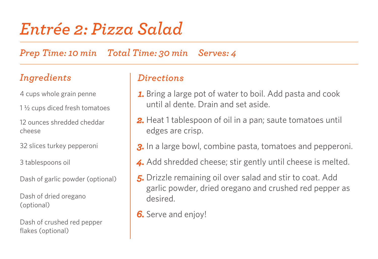# *Entrée 2: Pizza Salad*

*Prep Time: 10 min Total Time: 30 min Serves: 4*

### *Ingredients*

- 4 cups whole grain penne
- 1 ½ cups diced fresh tomatoes
- 12 ounces shredded cheddar cheese
- 32 slices turkey pepperoni
- 3 tablespoons oil
- Dash of garlic powder (optional)
- Dash of dried oregano (optional)
- Dash of crushed red pepper flakes (optional)

- *1.* Bring a large pot of water to boil. Add pasta and cook until al dente. Drain and set aside.
- *2.* Heat 1 tablespoon of oil in a pan; saute tomatoes until edges are crisp.
- **3.** In a large bowl, combine pasta, tomatoes and pepperoni.
- *4.* Add shredded cheese; stir gently until cheese is melted.
- *5.* Drizzle remaining oil over salad and stir to coat. Add garlic powder, dried oregano and crushed red pepper as desired.
- *6.* Serve and enjoy!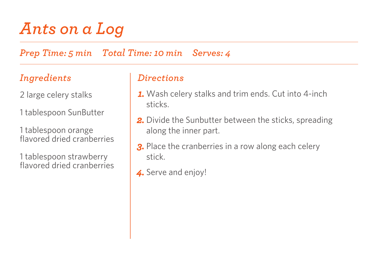# *Ants on a Log*

*Prep Time: 5 min Total Time: 10 min Serves: 4*

### *Ingredients*

2 large celery stalks

1 tablespoon SunButter

1 tablespoon orange flavored dried cranberries

1 tablespoon strawberry flavored dried cranberries

- *1.* Wash celery stalks and trim ends. Cut into 4-inch sticks.
- **2.** Divide the Sunbutter between the sticks, spreading along the inner part.
- **3.** Place the cranberries in a row along each celery stick.
- *4.* Serve and enjoy!